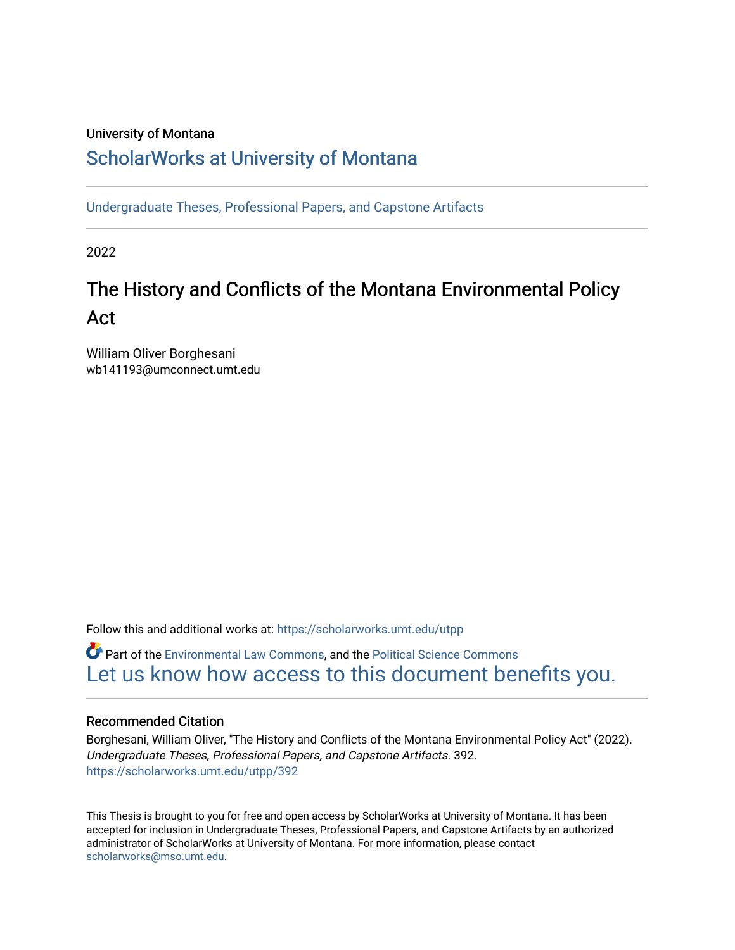# University of Montana

# [ScholarWorks at University of Montana](https://scholarworks.umt.edu/)

[Undergraduate Theses, Professional Papers, and Capstone Artifacts](https://scholarworks.umt.edu/utpp)

2022

# The History and Conflicts of the Montana Environmental Policy Act

William Oliver Borghesani wb141193@umconnect.umt.edu

Follow this and additional works at: [https://scholarworks.umt.edu/utpp](https://scholarworks.umt.edu/utpp?utm_source=scholarworks.umt.edu%2Futpp%2F392&utm_medium=PDF&utm_campaign=PDFCoverPages)

**C**<sup> $\bullet$ </sup> Part of the [Environmental Law Commons](https://network.bepress.com/hgg/discipline/599?utm_source=scholarworks.umt.edu%2Futpp%2F392&utm_medium=PDF&utm_campaign=PDFCoverPages), and the Political Science Commons [Let us know how access to this document benefits you.](https://goo.gl/forms/s2rGfXOLzz71qgsB2) 

# Recommended Citation

Borghesani, William Oliver, "The History and Conflicts of the Montana Environmental Policy Act" (2022). Undergraduate Theses, Professional Papers, and Capstone Artifacts. 392. [https://scholarworks.umt.edu/utpp/392](https://scholarworks.umt.edu/utpp/392?utm_source=scholarworks.umt.edu%2Futpp%2F392&utm_medium=PDF&utm_campaign=PDFCoverPages)

This Thesis is brought to you for free and open access by ScholarWorks at University of Montana. It has been accepted for inclusion in Undergraduate Theses, Professional Papers, and Capstone Artifacts by an authorized administrator of ScholarWorks at University of Montana. For more information, please contact [scholarworks@mso.umt.edu.](mailto:scholarworks@mso.umt.edu)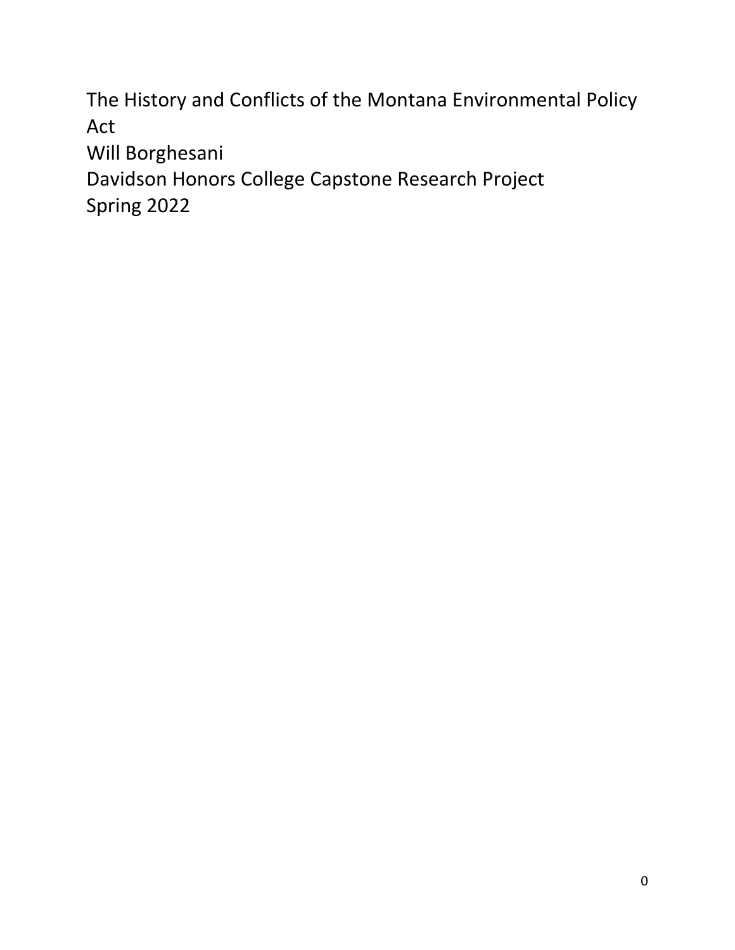The History and Conflicts of the Montana Environmental Policy Act Will Borghesani

Davidson Honors College Capstone Research Project Spring 2022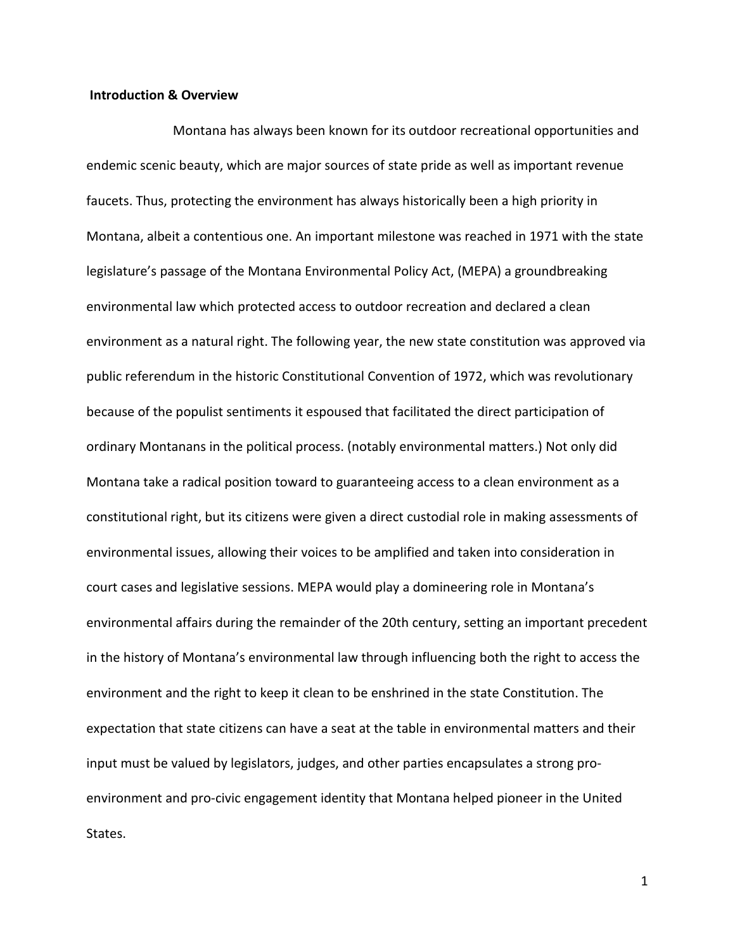#### **Introduction & Overview**

Montana has always been known for its outdoor recreational opportunities and endemic scenic beauty, which are major sources of state pride as well as important revenue faucets. Thus, protecting the environment has always historically been a high priority in Montana, albeit a contentious one. An important milestone was reached in 1971 with the state legislature's passage of the Montana Environmental Policy Act, (MEPA) a groundbreaking environmental law which protected access to outdoor recreation and declared a clean environment as a natural right. The following year, the new state constitution was approved via public referendum in the historic Constitutional Convention of 1972, which was revolutionary because of the populist sentiments it espoused that facilitated the direct participation of ordinary Montanans in the political process. (notably environmental matters.) Not only did Montana take a radical position toward to guaranteeing access to a clean environment as a constitutional right, but its citizens were given a direct custodial role in making assessments of environmental issues, allowing their voices to be amplified and taken into consideration in court cases and legislative sessions. MEPA would play a domineering role in Montana's environmental affairs during the remainder of the 20th century, setting an important precedent in the history of Montana's environmental law through influencing both the right to access the environment and the right to keep it clean to be enshrined in the state Constitution. The expectation that state citizens can have a seat at the table in environmental matters and their input must be valued by legislators, judges, and other parties encapsulates a strong proenvironment and pro-civic engagement identity that Montana helped pioneer in the United States.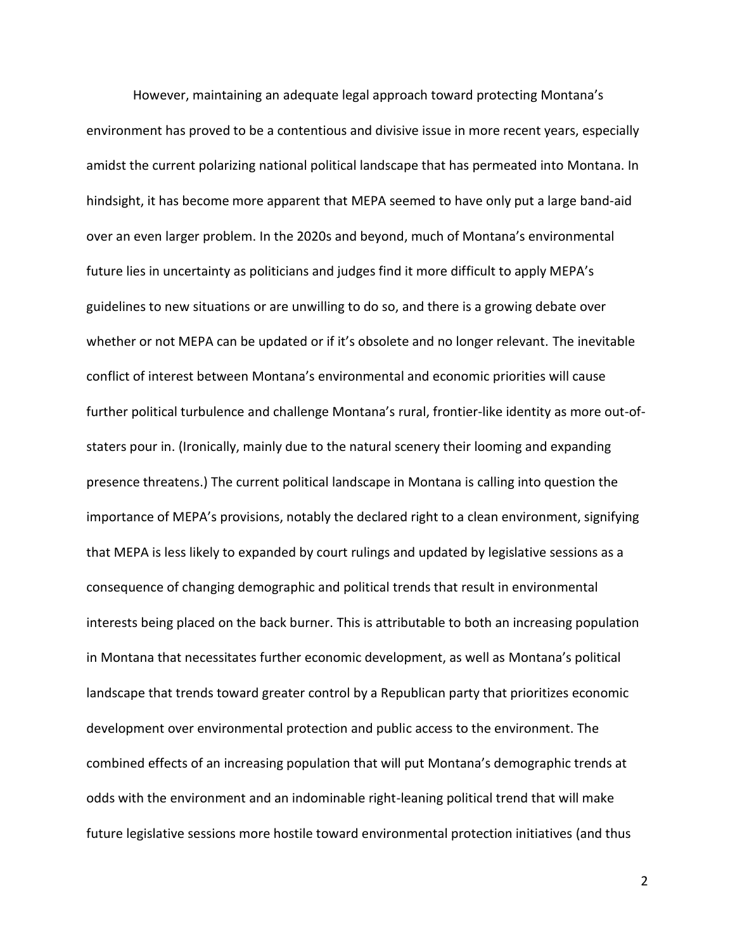However, maintaining an adequate legal approach toward protecting Montana's environment has proved to be a contentious and divisive issue in more recent years, especially amidst the current polarizing national political landscape that has permeated into Montana. In hindsight, it has become more apparent that MEPA seemed to have only put a large band-aid over an even larger problem. In the 2020s and beyond, much of Montana's environmental future lies in uncertainty as politicians and judges find it more difficult to apply MEPA's guidelines to new situations or are unwilling to do so, and there is a growing debate over whether or not MEPA can be updated or if it's obsolete and no longer relevant. The inevitable conflict of interest between Montana's environmental and economic priorities will cause further political turbulence and challenge Montana's rural, frontier-like identity as more out-ofstaters pour in. (Ironically, mainly due to the natural scenery their looming and expanding presence threatens.) The current political landscape in Montana is calling into question the importance of MEPA's provisions, notably the declared right to a clean environment, signifying that MEPA is less likely to expanded by court rulings and updated by legislative sessions as a consequence of changing demographic and political trends that result in environmental interests being placed on the back burner. This is attributable to both an increasing population in Montana that necessitates further economic development, as well as Montana's political landscape that trends toward greater control by a Republican party that prioritizes economic development over environmental protection and public access to the environment. The combined effects of an increasing population that will put Montana's demographic trends at odds with the environment and an indominable right-leaning political trend that will make future legislative sessions more hostile toward environmental protection initiatives (and thus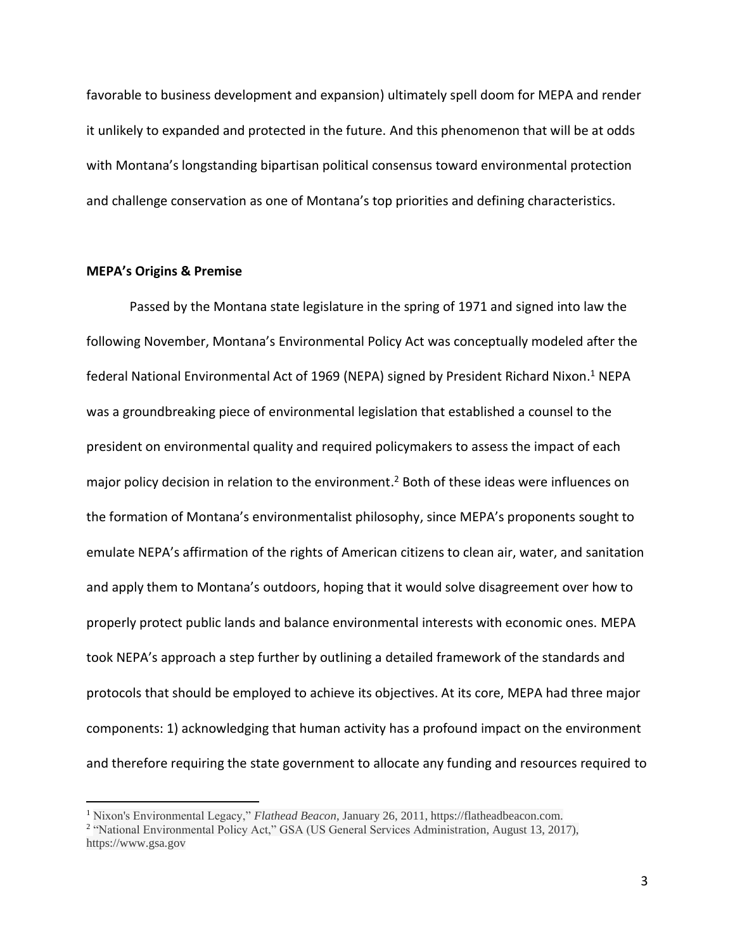favorable to business development and expansion) ultimately spell doom for MEPA and render it unlikely to expanded and protected in the future. And this phenomenon that will be at odds with Montana's longstanding bipartisan political consensus toward environmental protection and challenge conservation as one of Montana's top priorities and defining characteristics.

#### **MEPA's Origins & Premise**

Passed by the Montana state legislature in the spring of 1971 and signed into law the following November, Montana's Environmental Policy Act was conceptually modeled after the federal National Environmental Act of 1969 (NEPA) signed by President Richard Nixon. <sup>1</sup> NEPA was a groundbreaking piece of environmental legislation that established a counsel to the president on environmental quality and required policymakers to assess the impact of each major policy decision in relation to the environment.<sup>2</sup> Both of these ideas were influences on the formation of Montana's environmentalist philosophy, since MEPA's proponents sought to emulate NEPA's affirmation of the rights of American citizens to clean air, water, and sanitation and apply them to Montana's outdoors, hoping that it would solve disagreement over how to properly protect public lands and balance environmental interests with economic ones. MEPA took NEPA's approach a step further by outlining a detailed framework of the standards and protocols that should be employed to achieve its objectives. At its core, MEPA had three major components: 1) acknowledging that human activity has a profound impact on the environment and therefore requiring the state government to allocate any funding and resources required to

<sup>1</sup> Nixon's Environmental Legacy," *Flathead Beacon*, January 26, 2011, https://flatheadbeacon.com.

<sup>&</sup>lt;sup>2</sup> "National Environmental Policy Act," GSA (US General Services Administration, August 13, 2017), https://www.gsa.gov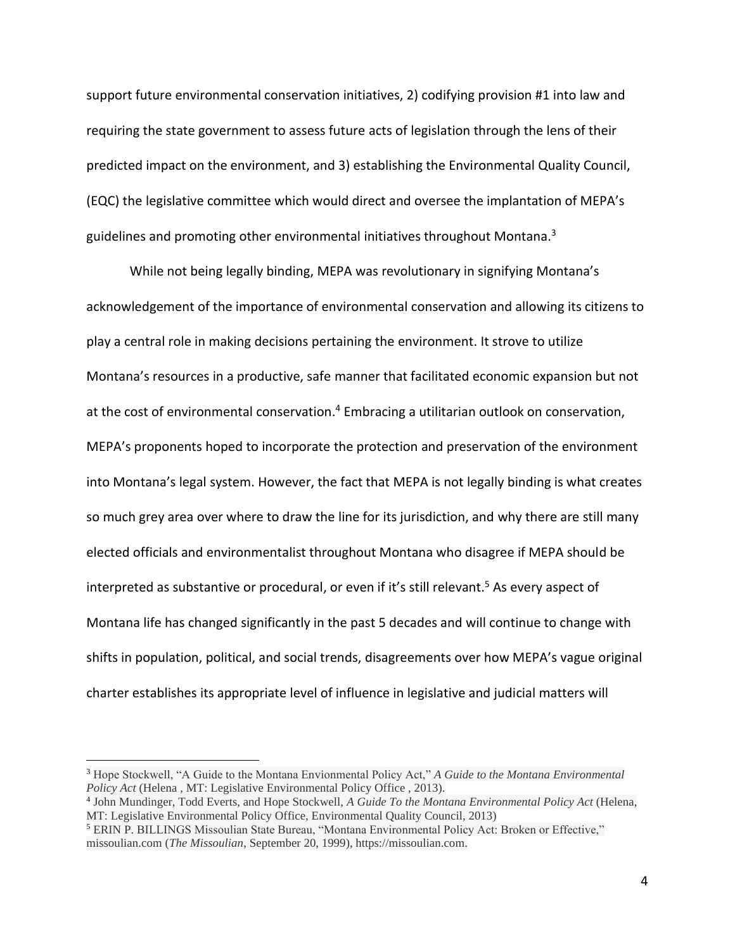support future environmental conservation initiatives, 2) codifying provision #1 into law and requiring the state government to assess future acts of legislation through the lens of their predicted impact on the environment, and 3) establishing the Environmental Quality Council, (EQC) the legislative committee which would direct and oversee the implantation of MEPA's guidelines and promoting other environmental initiatives throughout Montana.<sup>3</sup>

While not being legally binding, MEPA was revolutionary in signifying Montana's acknowledgement of the importance of environmental conservation and allowing its citizens to play a central role in making decisions pertaining the environment. It strove to utilize Montana's resources in a productive, safe manner that facilitated economic expansion but not at the cost of environmental conservation.<sup>4</sup> Embracing a utilitarian outlook on conservation, MEPA's proponents hoped to incorporate the protection and preservation of the environment into Montana's legal system. However, the fact that MEPA is not legally binding is what creates so much grey area over where to draw the line for its jurisdiction, and why there are still many elected officials and environmentalist throughout Montana who disagree if MEPA should be interpreted as substantive or procedural, or even if it's still relevant.<sup>5</sup> As every aspect of Montana life has changed significantly in the past 5 decades and will continue to change with shifts in population, political, and social trends, disagreements over how MEPA's vague original charter establishes its appropriate level of influence in legislative and judicial matters will

<sup>3</sup> Hope Stockwell, "A Guide to the Montana Envionmental Policy Act," *A Guide to the Montana Environmental Policy Act* (Helena , MT: Legislative Environmental Policy Office , 2013).

<sup>4</sup> John Mundinger, Todd Everts, and Hope Stockwell, *A Guide To the Montana Environmental Policy Act* (Helena, MT: Legislative Environmental Policy Office, Environmental Quality Council, 2013)

<sup>5</sup> ERIN P. BILLINGS Missoulian State Bureau, "Montana Environmental Policy Act: Broken or Effective," missoulian.com (*The Missoulian*, September 20, 1999), https://missoulian.com.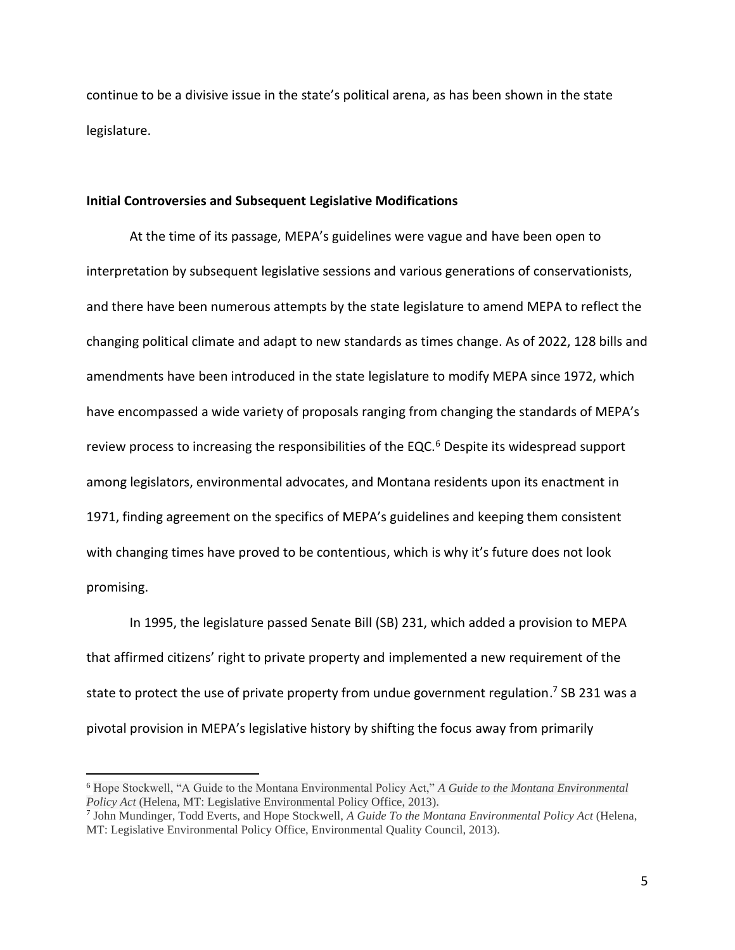continue to be a divisive issue in the state's political arena, as has been shown in the state legislature.

#### **Initial Controversies and Subsequent Legislative Modifications**

At the time of its passage, MEPA's guidelines were vague and have been open to interpretation by subsequent legislative sessions and various generations of conservationists, and there have been numerous attempts by the state legislature to amend MEPA to reflect the changing political climate and adapt to new standards as times change. As of 2022, 128 bills and amendments have been introduced in the state legislature to modify MEPA since 1972, which have encompassed a wide variety of proposals ranging from changing the standards of MEPA's review process to increasing the responsibilities of the EQC.<sup>6</sup> Despite its widespread support among legislators, environmental advocates, and Montana residents upon its enactment in 1971, finding agreement on the specifics of MEPA's guidelines and keeping them consistent with changing times have proved to be contentious, which is why it's future does not look promising.

In 1995, the legislature passed Senate Bill (SB) 231, which added a provision to MEPA that affirmed citizens' right to private property and implemented a new requirement of the state to protect the use of private property from undue government regulation.<sup>7</sup> SB 231 was a pivotal provision in MEPA's legislative history by shifting the focus away from primarily

<sup>6</sup> Hope Stockwell, "A Guide to the Montana Environmental Policy Act," *A Guide to the Montana Environmental Policy Act* (Helena, MT: Legislative Environmental Policy Office, 2013).

<sup>7</sup> John Mundinger, Todd Everts, and Hope Stockwell, *A Guide To the Montana Environmental Policy Act* (Helena, MT: Legislative Environmental Policy Office, Environmental Quality Council, 2013).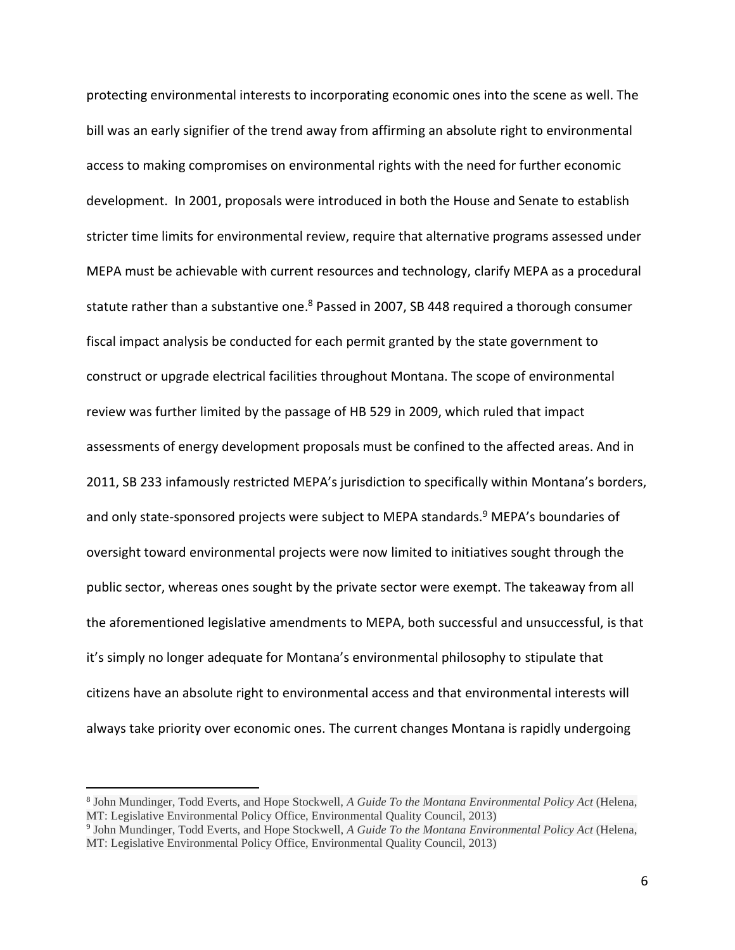protecting environmental interests to incorporating economic ones into the scene as well. The bill was an early signifier of the trend away from affirming an absolute right to environmental access to making compromises on environmental rights with the need for further economic development. In 2001, proposals were introduced in both the House and Senate to establish stricter time limits for environmental review, require that alternative programs assessed under MEPA must be achievable with current resources and technology, clarify MEPA as a procedural statute rather than a substantive one.<sup>8</sup> Passed in 2007, SB 448 required a thorough consumer fiscal impact analysis be conducted for each permit granted by the state government to construct or upgrade electrical facilities throughout Montana. The scope of environmental review was further limited by the passage of HB 529 in 2009, which ruled that impact assessments of energy development proposals must be confined to the affected areas. And in 2011, SB 233 infamously restricted MEPA's jurisdiction to specifically within Montana's borders, and only state-sponsored projects were subject to MEPA standards.<sup>9</sup> MEPA's boundaries of oversight toward environmental projects were now limited to initiatives sought through the public sector, whereas ones sought by the private sector were exempt. The takeaway from all the aforementioned legislative amendments to MEPA, both successful and unsuccessful, is that it's simply no longer adequate for Montana's environmental philosophy to stipulate that citizens have an absolute right to environmental access and that environmental interests will always take priority over economic ones. The current changes Montana is rapidly undergoing

<sup>8</sup> John Mundinger, Todd Everts, and Hope Stockwell, *A Guide To the Montana Environmental Policy Act* (Helena, MT: Legislative Environmental Policy Office, Environmental Quality Council, 2013)

<sup>9</sup> John Mundinger, Todd Everts, and Hope Stockwell, *A Guide To the Montana Environmental Policy Act* (Helena, MT: Legislative Environmental Policy Office, Environmental Quality Council, 2013)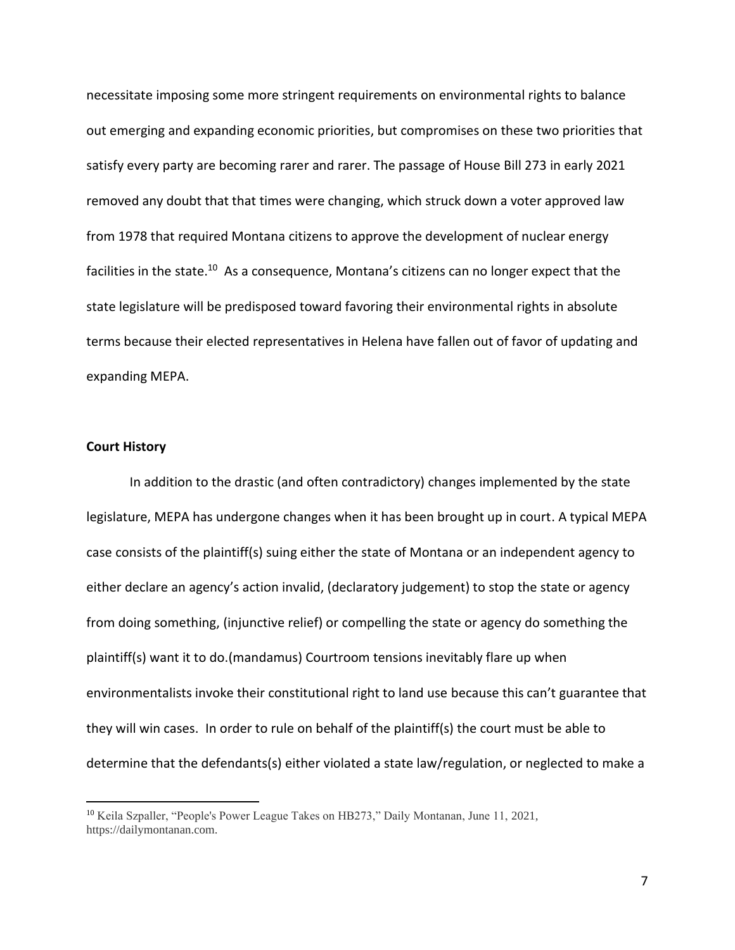necessitate imposing some more stringent requirements on environmental rights to balance out emerging and expanding economic priorities, but compromises on these two priorities that satisfy every party are becoming rarer and rarer. The passage of House Bill 273 in early 2021 removed any doubt that that times were changing, which struck down a voter approved law from 1978 that required Montana citizens to approve the development of nuclear energy facilities in the state.<sup>10</sup> As a consequence, Montana's citizens can no longer expect that the state legislature will be predisposed toward favoring their environmental rights in absolute terms because their elected representatives in Helena have fallen out of favor of updating and expanding MEPA.

#### **Court History**

In addition to the drastic (and often contradictory) changes implemented by the state legislature, MEPA has undergone changes when it has been brought up in court. A typical MEPA case consists of the plaintiff(s) suing either the state of Montana or an independent agency to either declare an agency's action invalid, (declaratory judgement) to stop the state or agency from doing something, (injunctive relief) or compelling the state or agency do something the plaintiff(s) want it to do.(mandamus) Courtroom tensions inevitably flare up when environmentalists invoke their constitutional right to land use because this can't guarantee that they will win cases. In order to rule on behalf of the plaintiff(s) the court must be able to determine that the defendants(s) either violated a state law/regulation, or neglected to make a

<sup>10</sup> Keila Szpaller, "People's Power League Takes on HB273," Daily Montanan, June 11, 2021, https://dailymontanan.com.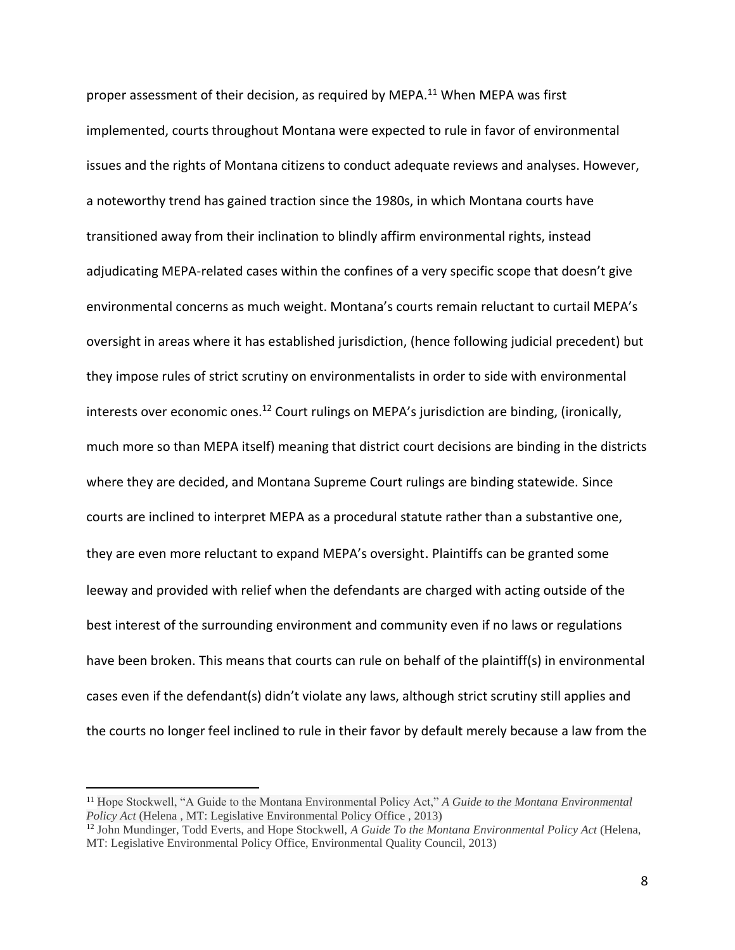proper assessment of their decision, as required by MEPA.<sup>11</sup> When MEPA was first implemented, courts throughout Montana were expected to rule in favor of environmental issues and the rights of Montana citizens to conduct adequate reviews and analyses. However, a noteworthy trend has gained traction since the 1980s, in which Montana courts have transitioned away from their inclination to blindly affirm environmental rights, instead adjudicating MEPA-related cases within the confines of a very specific scope that doesn't give environmental concerns as much weight. Montana's courts remain reluctant to curtail MEPA's oversight in areas where it has established jurisdiction, (hence following judicial precedent) but they impose rules of strict scrutiny on environmentalists in order to side with environmental interests over economic ones.<sup>12</sup> Court rulings on MEPA's jurisdiction are binding, (ironically, much more so than MEPA itself) meaning that district court decisions are binding in the districts where they are decided, and Montana Supreme Court rulings are binding statewide. Since courts are inclined to interpret MEPA as a procedural statute rather than a substantive one, they are even more reluctant to expand MEPA's oversight. Plaintiffs can be granted some leeway and provided with relief when the defendants are charged with acting outside of the best interest of the surrounding environment and community even if no laws or regulations have been broken. This means that courts can rule on behalf of the plaintiff(s) in environmental cases even if the defendant(s) didn't violate any laws, although strict scrutiny still applies and the courts no longer feel inclined to rule in their favor by default merely because a law from the

<sup>11</sup> Hope Stockwell, "A Guide to the Montana Environmental Policy Act," *A Guide to the Montana Environmental Policy Act* (Helena , MT: Legislative Environmental Policy Office , 2013)

<sup>12</sup> John Mundinger, Todd Everts, and Hope Stockwell, *A Guide To the Montana Environmental Policy Act* (Helena, MT: Legislative Environmental Policy Office, Environmental Quality Council, 2013)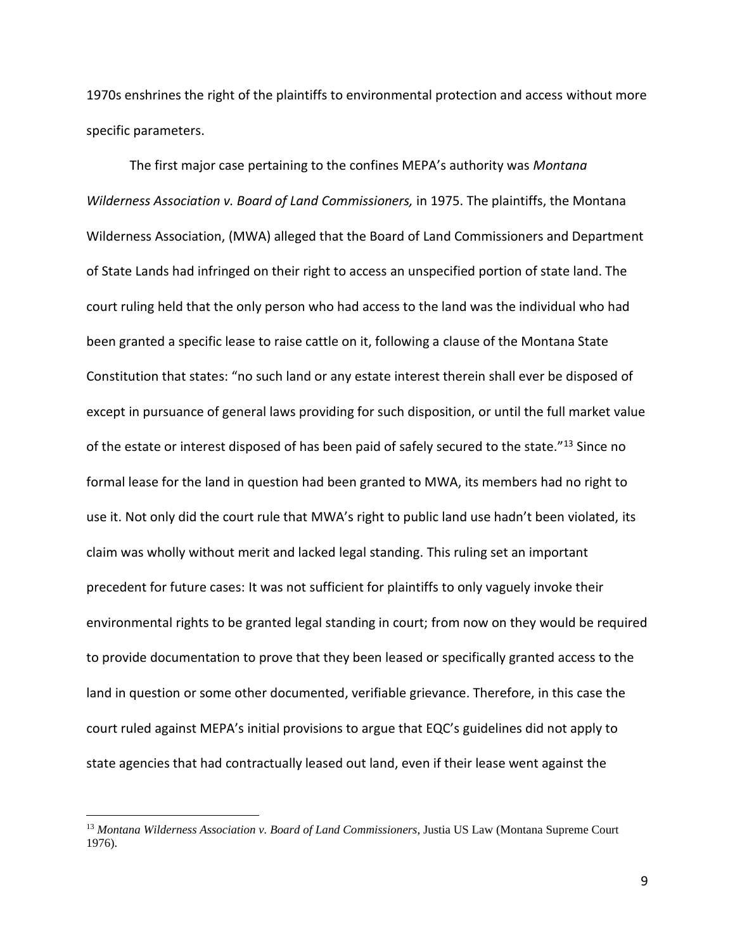1970s enshrines the right of the plaintiffs to environmental protection and access without more specific parameters.

The first major case pertaining to the confines MEPA's authority was *Montana Wilderness Association v. Board of Land Commissioners,* in 1975. The plaintiffs, the Montana Wilderness Association, (MWA) alleged that the Board of Land Commissioners and Department of State Lands had infringed on their right to access an unspecified portion of state land. The court ruling held that the only person who had access to the land was the individual who had been granted a specific lease to raise cattle on it, following a clause of the Montana State Constitution that states: "no such land or any estate interest therein shall ever be disposed of except in pursuance of general laws providing for such disposition, or until the full market value of the estate or interest disposed of has been paid of safely secured to the state."<sup>13</sup> Since no formal lease for the land in question had been granted to MWA, its members had no right to use it. Not only did the court rule that MWA's right to public land use hadn't been violated, its claim was wholly without merit and lacked legal standing. This ruling set an important precedent for future cases: It was not sufficient for plaintiffs to only vaguely invoke their environmental rights to be granted legal standing in court; from now on they would be required to provide documentation to prove that they been leased or specifically granted access to the land in question or some other documented, verifiable grievance. Therefore, in this case the court ruled against MEPA's initial provisions to argue that EQC's guidelines did not apply to state agencies that had contractually leased out land, even if their lease went against the

<sup>13</sup> *Montana Wilderness Association v. Board of Land Commissioners*, Justia US Law (Montana Supreme Court 1976).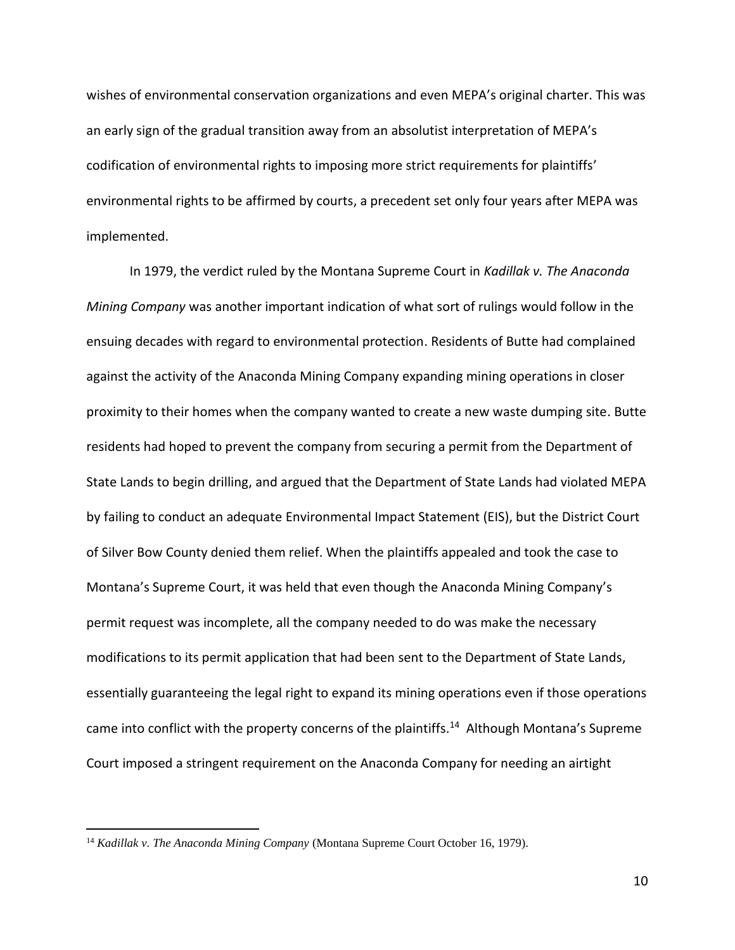wishes of environmental conservation organizations and even MEPA's original charter. This was an early sign of the gradual transition away from an absolutist interpretation of MEPA's codification of environmental rights to imposing more strict requirements for plaintiffs' environmental rights to be affirmed by courts, a precedent set only four years after MEPA was implemented.

In 1979, the verdict ruled by the Montana Supreme Court in *Kadillak v. The Anaconda Mining Company* was another important indication of what sort of rulings would follow in the ensuing decades with regard to environmental protection. Residents of Butte had complained against the activity of the Anaconda Mining Company expanding mining operations in closer proximity to their homes when the company wanted to create a new waste dumping site. Butte residents had hoped to prevent the company from securing a permit from the Department of State Lands to begin drilling, and argued that the Department of State Lands had violated MEPA by failing to conduct an adequate Environmental Impact Statement (EIS), but the District Court of Silver Bow County denied them relief. When the plaintiffs appealed and took the case to Montana's Supreme Court, it was held that even though the Anaconda Mining Company's permit request was incomplete, all the company needed to do was make the necessary modifications to its permit application that had been sent to the Department of State Lands, essentially guaranteeing the legal right to expand its mining operations even if those operations came into conflict with the property concerns of the plaintiffs.<sup>14</sup> Although Montana's Supreme Court imposed a stringent requirement on the Anaconda Company for needing an airtight

<sup>14</sup> *Kadillak v. The Anaconda Mining Company* (Montana Supreme Court October 16, 1979).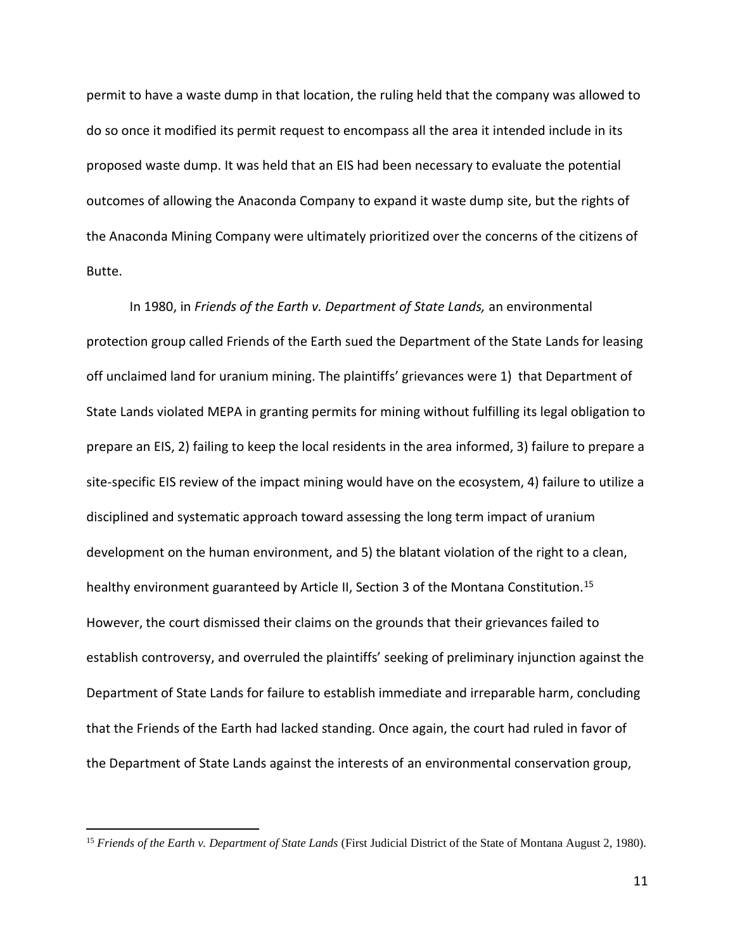permit to have a waste dump in that location, the ruling held that the company was allowed to do so once it modified its permit request to encompass all the area it intended include in its proposed waste dump. It was held that an EIS had been necessary to evaluate the potential outcomes of allowing the Anaconda Company to expand it waste dump site, but the rights of the Anaconda Mining Company were ultimately prioritized over the concerns of the citizens of Butte.

In 1980, in *Friends of the Earth v. Department of State Lands,* an environmental protection group called Friends of the Earth sued the Department of the State Lands for leasing off unclaimed land for uranium mining. The plaintiffs' grievances were 1) that Department of State Lands violated MEPA in granting permits for mining without fulfilling its legal obligation to prepare an EIS, 2) failing to keep the local residents in the area informed, 3) failure to prepare a site-specific EIS review of the impact mining would have on the ecosystem, 4) failure to utilize a disciplined and systematic approach toward assessing the long term impact of uranium development on the human environment, and 5) the blatant violation of the right to a clean, healthy environment guaranteed by Article II, Section 3 of the Montana Constitution.<sup>15</sup> However, the court dismissed their claims on the grounds that their grievances failed to establish controversy, and overruled the plaintiffs' seeking of preliminary injunction against the Department of State Lands for failure to establish immediate and irreparable harm, concluding that the Friends of the Earth had lacked standing. Once again, the court had ruled in favor of the Department of State Lands against the interests of an environmental conservation group,

<sup>&</sup>lt;sup>15</sup> *Friends of the Earth v. Department of State Lands* (First Judicial District of the State of Montana August 2, 1980).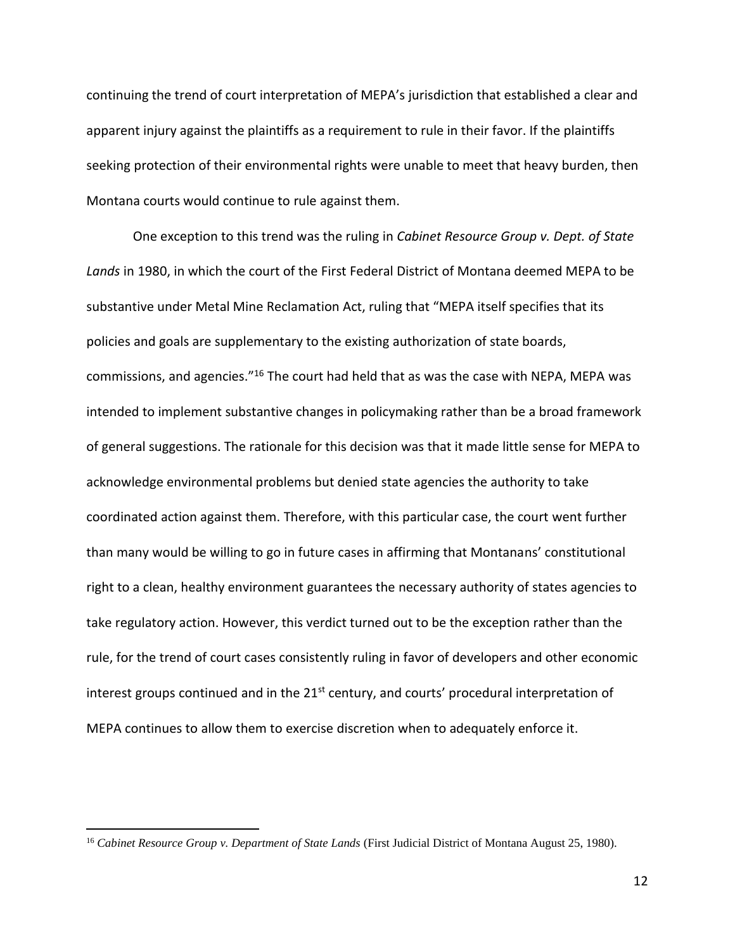continuing the trend of court interpretation of MEPA's jurisdiction that established a clear and apparent injury against the plaintiffs as a requirement to rule in their favor. If the plaintiffs seeking protection of their environmental rights were unable to meet that heavy burden, then Montana courts would continue to rule against them.

One exception to this trend was the ruling in *Cabinet Resource Group v. Dept. of State Lands* in 1980, in which the court of the First Federal District of Montana deemed MEPA to be substantive under Metal Mine Reclamation Act, ruling that "MEPA itself specifies that its policies and goals are supplementary to the existing authorization of state boards, commissions, and agencies."<sup>16</sup> The court had held that as was the case with NEPA, MEPA was intended to implement substantive changes in policymaking rather than be a broad framework of general suggestions. The rationale for this decision was that it made little sense for MEPA to acknowledge environmental problems but denied state agencies the authority to take coordinated action against them. Therefore, with this particular case, the court went further than many would be willing to go in future cases in affirming that Montanans' constitutional right to a clean, healthy environment guarantees the necessary authority of states agencies to take regulatory action. However, this verdict turned out to be the exception rather than the rule, for the trend of court cases consistently ruling in favor of developers and other economic interest groups continued and in the  $21^{st}$  century, and courts' procedural interpretation of MEPA continues to allow them to exercise discretion when to adequately enforce it.

<sup>16</sup> *Cabinet Resource Group v. Department of State Lands* (First Judicial District of Montana August 25, 1980).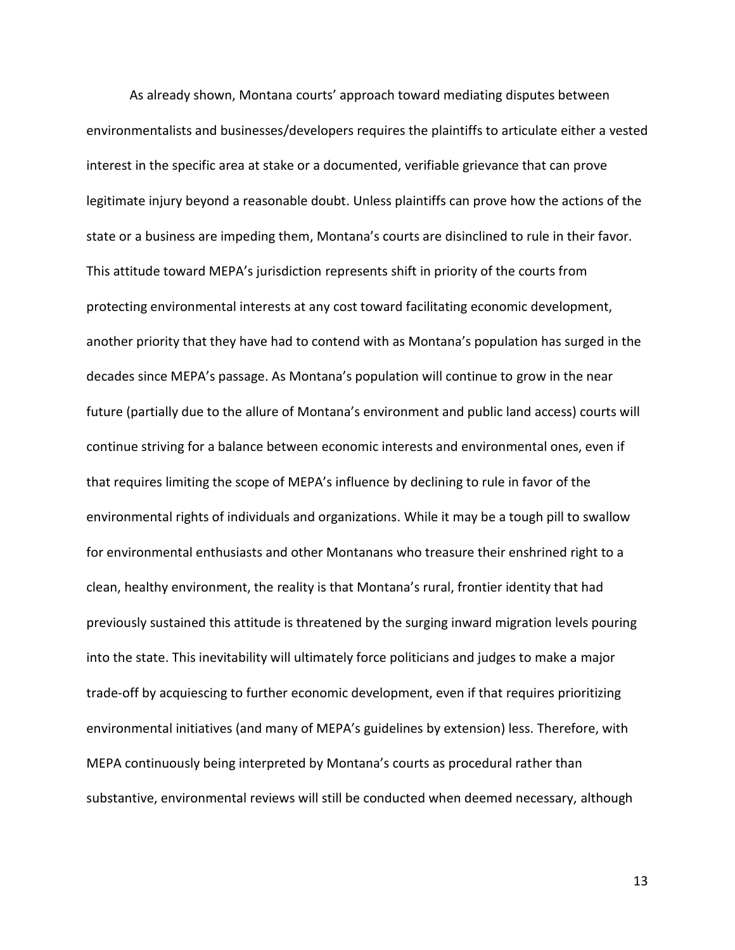As already shown, Montana courts' approach toward mediating disputes between environmentalists and businesses/developers requires the plaintiffs to articulate either a vested interest in the specific area at stake or a documented, verifiable grievance that can prove legitimate injury beyond a reasonable doubt. Unless plaintiffs can prove how the actions of the state or a business are impeding them, Montana's courts are disinclined to rule in their favor. This attitude toward MEPA's jurisdiction represents shift in priority of the courts from protecting environmental interests at any cost toward facilitating economic development, another priority that they have had to contend with as Montana's population has surged in the decades since MEPA's passage. As Montana's population will continue to grow in the near future (partially due to the allure of Montana's environment and public land access) courts will continue striving for a balance between economic interests and environmental ones, even if that requires limiting the scope of MEPA's influence by declining to rule in favor of the environmental rights of individuals and organizations. While it may be a tough pill to swallow for environmental enthusiasts and other Montanans who treasure their enshrined right to a clean, healthy environment, the reality is that Montana's rural, frontier identity that had previously sustained this attitude is threatened by the surging inward migration levels pouring into the state. This inevitability will ultimately force politicians and judges to make a major trade-off by acquiescing to further economic development, even if that requires prioritizing environmental initiatives (and many of MEPA's guidelines by extension) less. Therefore, with MEPA continuously being interpreted by Montana's courts as procedural rather than substantive, environmental reviews will still be conducted when deemed necessary, although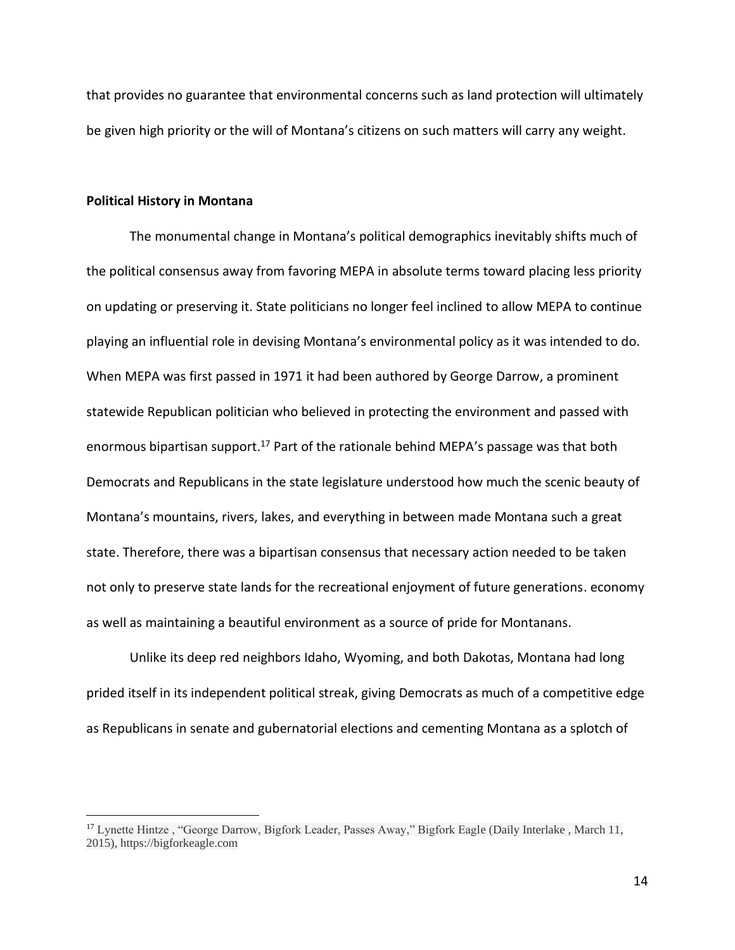that provides no guarantee that environmental concerns such as land protection will ultimately be given high priority or the will of Montana's citizens on such matters will carry any weight.

#### **Political History in Montana**

The monumental change in Montana's political demographics inevitably shifts much of the political consensus away from favoring MEPA in absolute terms toward placing less priority on updating or preserving it. State politicians no longer feel inclined to allow MEPA to continue playing an influential role in devising Montana's environmental policy as it was intended to do. When MEPA was first passed in 1971 it had been authored by George Darrow, a prominent statewide Republican politician who believed in protecting the environment and passed with enormous bipartisan support.<sup>17</sup> Part of the rationale behind MEPA's passage was that both Democrats and Republicans in the state legislature understood how much the scenic beauty of Montana's mountains, rivers, lakes, and everything in between made Montana such a great state. Therefore, there was a bipartisan consensus that necessary action needed to be taken not only to preserve state lands for the recreational enjoyment of future generations. economy as well as maintaining a beautiful environment as a source of pride for Montanans.

Unlike its deep red neighbors Idaho, Wyoming, and both Dakotas, Montana had long prided itself in its independent political streak, giving Democrats as much of a competitive edge as Republicans in senate and gubernatorial elections and cementing Montana as a splotch of

<sup>&</sup>lt;sup>17</sup> Lynette Hintze, "George Darrow, Bigfork Leader, Passes Away," Bigfork Eagle (Daily Interlake, March 11, 2015), https://bigforkeagle.com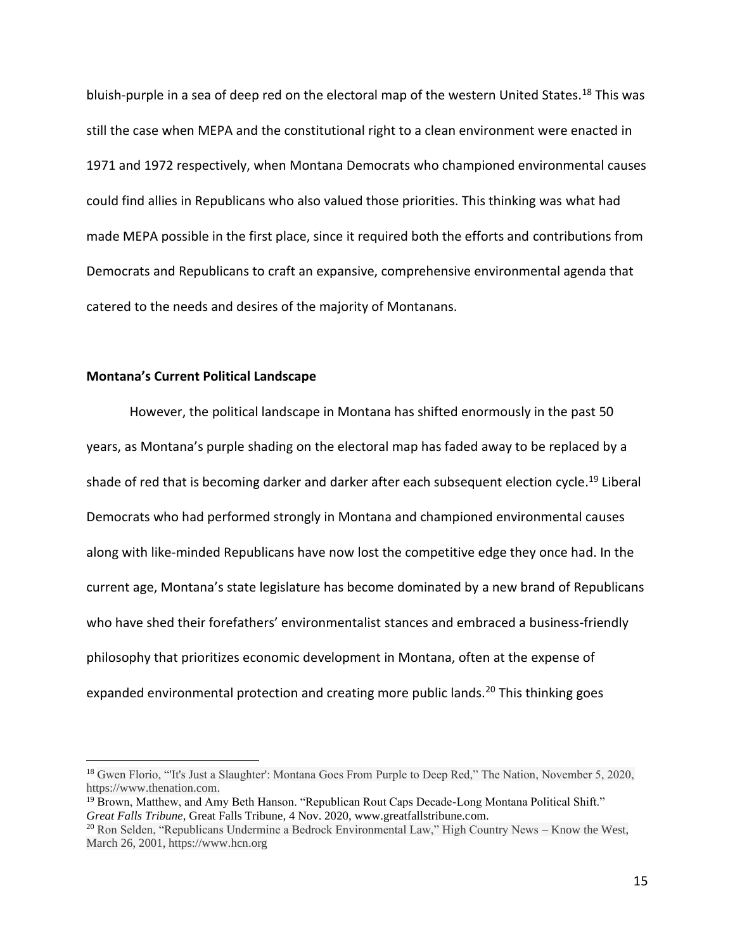bluish-purple in a sea of deep red on the electoral map of the western United States.<sup>18</sup> This was still the case when MEPA and the constitutional right to a clean environment were enacted in 1971 and 1972 respectively, when Montana Democrats who championed environmental causes could find allies in Republicans who also valued those priorities. This thinking was what had made MEPA possible in the first place, since it required both the efforts and contributions from Democrats and Republicans to craft an expansive, comprehensive environmental agenda that catered to the needs and desires of the majority of Montanans.

# **Montana's Current Political Landscape**

However, the political landscape in Montana has shifted enormously in the past 50 years, as Montana's purple shading on the electoral map has faded away to be replaced by a shade of red that is becoming darker and darker after each subsequent election cycle. <sup>19</sup> Liberal Democrats who had performed strongly in Montana and championed environmental causes along with like-minded Republicans have now lost the competitive edge they once had. In the current age, Montana's state legislature has become dominated by a new brand of Republicans who have shed their forefathers' environmentalist stances and embraced a business-friendly philosophy that prioritizes economic development in Montana, often at the expense of expanded environmental protection and creating more public lands.<sup>20</sup> This thinking goes

<sup>&</sup>lt;sup>18</sup> Gwen Florio, "It's Just a Slaughter': Montana Goes From Purple to Deep Red," The Nation, November 5, 2020, https://www.thenation.com.

<sup>&</sup>lt;sup>19</sup> Brown, Matthew, and Amy Beth Hanson. "Republican Rout Caps Decade-Long Montana Political Shift." *Great Falls Tribune*, Great Falls Tribune, 4 Nov. 2020, www.greatfallstribune.com.

<sup>&</sup>lt;sup>20</sup> Ron Selden, "Republicans Undermine a Bedrock Environmental Law," High Country News – Know the West, March 26, 2001, https://www.hcn.org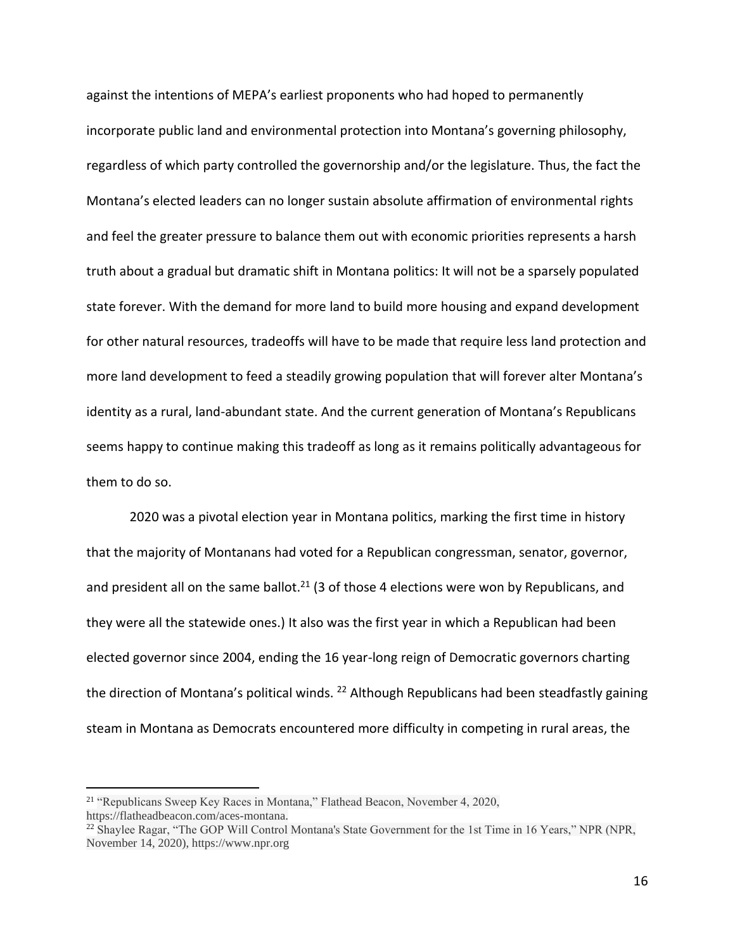against the intentions of MEPA's earliest proponents who had hoped to permanently incorporate public land and environmental protection into Montana's governing philosophy, regardless of which party controlled the governorship and/or the legislature. Thus, the fact the Montana's elected leaders can no longer sustain absolute affirmation of environmental rights and feel the greater pressure to balance them out with economic priorities represents a harsh truth about a gradual but dramatic shift in Montana politics: It will not be a sparsely populated state forever. With the demand for more land to build more housing and expand development for other natural resources, tradeoffs will have to be made that require less land protection and more land development to feed a steadily growing population that will forever alter Montana's identity as a rural, land-abundant state. And the current generation of Montana's Republicans seems happy to continue making this tradeoff as long as it remains politically advantageous for them to do so.

2020 was a pivotal election year in Montana politics, marking the first time in history that the majority of Montanans had voted for a Republican congressman, senator, governor, and president all on the same ballot.<sup>21</sup> (3 of those 4 elections were won by Republicans, and they were all the statewide ones.) It also was the first year in which a Republican had been elected governor since 2004, ending the 16 year-long reign of Democratic governors charting the direction of Montana's political winds. <sup>22</sup> Although Republicans had been steadfastly gaining steam in Montana as Democrats encountered more difficulty in competing in rural areas, the

<sup>21</sup> "Republicans Sweep Key Races in Montana," Flathead Beacon, November 4, 2020, https://flatheadbeacon.com/aces-montana.

<sup>&</sup>lt;sup>22</sup> Shaylee Ragar, "The GOP Will Control Montana's State Government for the 1st Time in 16 Years," NPR (NPR, November 14, 2020), https://www.npr.org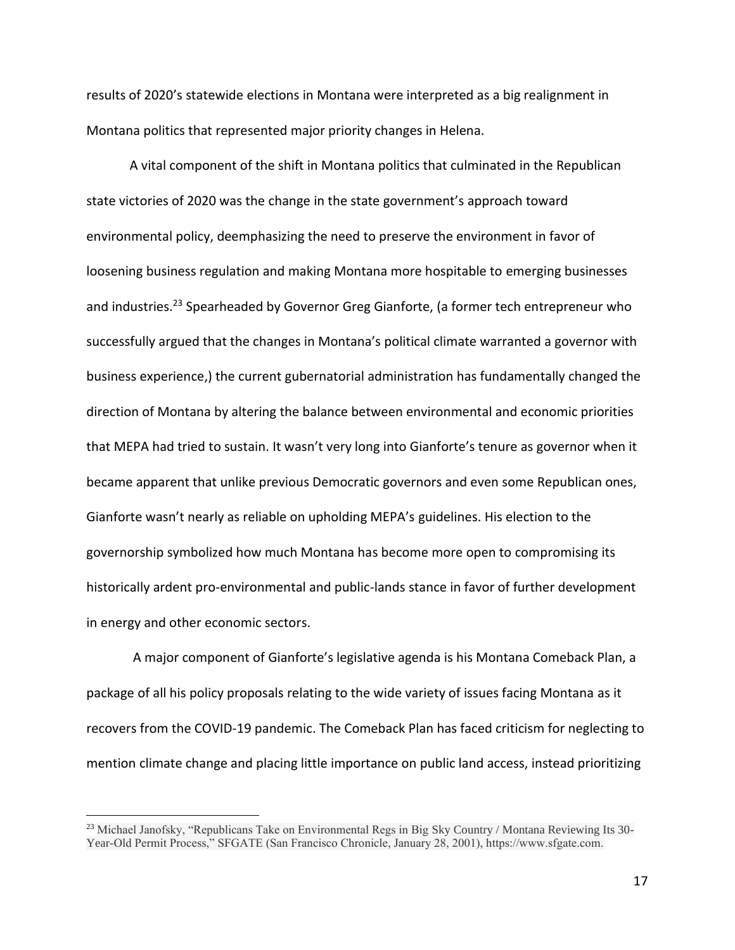results of 2020's statewide elections in Montana were interpreted as a big realignment in Montana politics that represented major priority changes in Helena.

A vital component of the shift in Montana politics that culminated in the Republican state victories of 2020 was the change in the state government's approach toward environmental policy, deemphasizing the need to preserve the environment in favor of loosening business regulation and making Montana more hospitable to emerging businesses and industries.<sup>23</sup> Spearheaded by Governor Greg Gianforte, (a former tech entrepreneur who successfully argued that the changes in Montana's political climate warranted a governor with business experience,) the current gubernatorial administration has fundamentally changed the direction of Montana by altering the balance between environmental and economic priorities that MEPA had tried to sustain. It wasn't very long into Gianforte's tenure as governor when it became apparent that unlike previous Democratic governors and even some Republican ones, Gianforte wasn't nearly as reliable on upholding MEPA's guidelines. His election to the governorship symbolized how much Montana has become more open to compromising its historically ardent pro-environmental and public-lands stance in favor of further development in energy and other economic sectors.

A major component of Gianforte's legislative agenda is his Montana Comeback Plan, a package of all his policy proposals relating to the wide variety of issues facing Montana as it recovers from the COVID-19 pandemic. The Comeback Plan has faced criticism for neglecting to mention climate change and placing little importance on public land access, instead prioritizing

<sup>&</sup>lt;sup>23</sup> Michael Janofsky, "Republicans Take on Environmental Regs in Big Sky Country / Montana Reviewing Its 30-Year-Old Permit Process," SFGATE (San Francisco Chronicle, January 28, 2001), https://www.sfgate.com.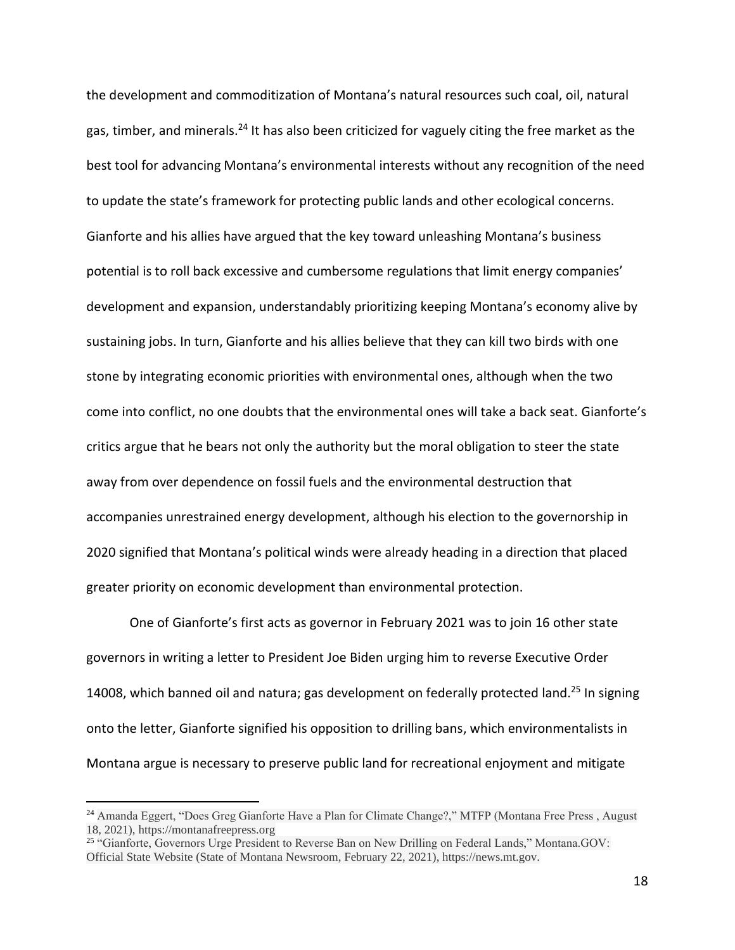the development and commoditization of Montana's natural resources such coal, oil, natural gas, timber, and minerals.<sup>24</sup> It has also been criticized for vaguely citing the free market as the best tool for advancing Montana's environmental interests without any recognition of the need to update the state's framework for protecting public lands and other ecological concerns. Gianforte and his allies have argued that the key toward unleashing Montana's business potential is to roll back excessive and cumbersome regulations that limit energy companies' development and expansion, understandably prioritizing keeping Montana's economy alive by sustaining jobs. In turn, Gianforte and his allies believe that they can kill two birds with one stone by integrating economic priorities with environmental ones, although when the two come into conflict, no one doubts that the environmental ones will take a back seat. Gianforte's critics argue that he bears not only the authority but the moral obligation to steer the state away from over dependence on fossil fuels and the environmental destruction that accompanies unrestrained energy development, although his election to the governorship in 2020 signified that Montana's political winds were already heading in a direction that placed greater priority on economic development than environmental protection.

One of Gianforte's first acts as governor in February 2021 was to join 16 other state governors in writing a letter to President Joe Biden urging him to reverse Executive Order 14008, which banned oil and natura; gas development on federally protected land.<sup>25</sup> In signing onto the letter, Gianforte signified his opposition to drilling bans, which environmentalists in Montana argue is necessary to preserve public land for recreational enjoyment and mitigate

<sup>&</sup>lt;sup>24</sup> Amanda Eggert, "Does Greg Gianforte Have a Plan for Climate Change?," MTFP (Montana Free Press, August 18, 2021), https://montanafreepress.org

<sup>&</sup>lt;sup>25</sup> "Gianforte, Governors Urge President to Reverse Ban on New Drilling on Federal Lands," Montana.GOV: Official State Website (State of Montana Newsroom, February 22, 2021), https://news.mt.gov.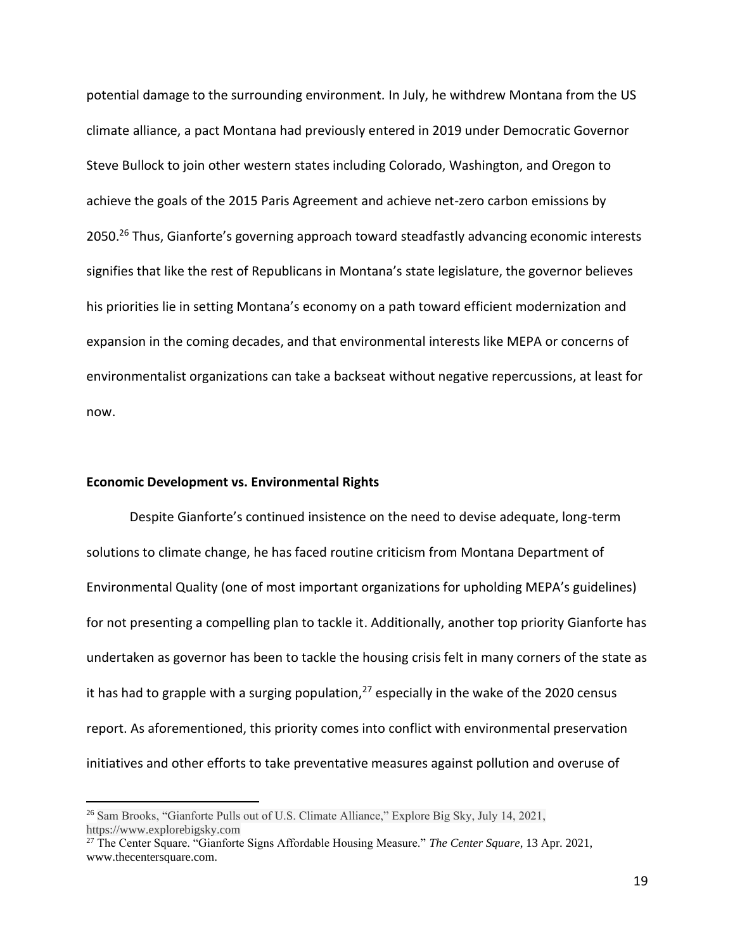potential damage to the surrounding environment. In July, he withdrew Montana from the US climate alliance, a pact Montana had previously entered in 2019 under Democratic Governor Steve Bullock to join other western states including Colorado, Washington, and Oregon to achieve the goals of the 2015 Paris Agreement and achieve net-zero carbon emissions by 2050.<sup>26</sup> Thus, Gianforte's governing approach toward steadfastly advancing economic interests signifies that like the rest of Republicans in Montana's state legislature, the governor believes his priorities lie in setting Montana's economy on a path toward efficient modernization and expansion in the coming decades, and that environmental interests like MEPA or concerns of environmentalist organizations can take a backseat without negative repercussions, at least for now.

# **Economic Development vs. Environmental Rights**

Despite Gianforte's continued insistence on the need to devise adequate, long-term solutions to climate change, he has faced routine criticism from Montana Department of Environmental Quality (one of most important organizations for upholding MEPA's guidelines) for not presenting a compelling plan to tackle it. Additionally, another top priority Gianforte has undertaken as governor has been to tackle the housing crisis felt in many corners of the state as it has had to grapple with a surging population, $^{27}$  especially in the wake of the 2020 census report. As aforementioned, this priority comes into conflict with environmental preservation initiatives and other efforts to take preventative measures against pollution and overuse of

<sup>26</sup> Sam Brooks, "Gianforte Pulls out of U.S. Climate Alliance," Explore Big Sky, July 14, 2021, https://www.explorebigsky.com

<sup>27</sup> The Center Square. "Gianforte Signs Affordable Housing Measure." *The Center Square*, 13 Apr. 2021, www.thecentersquare.com.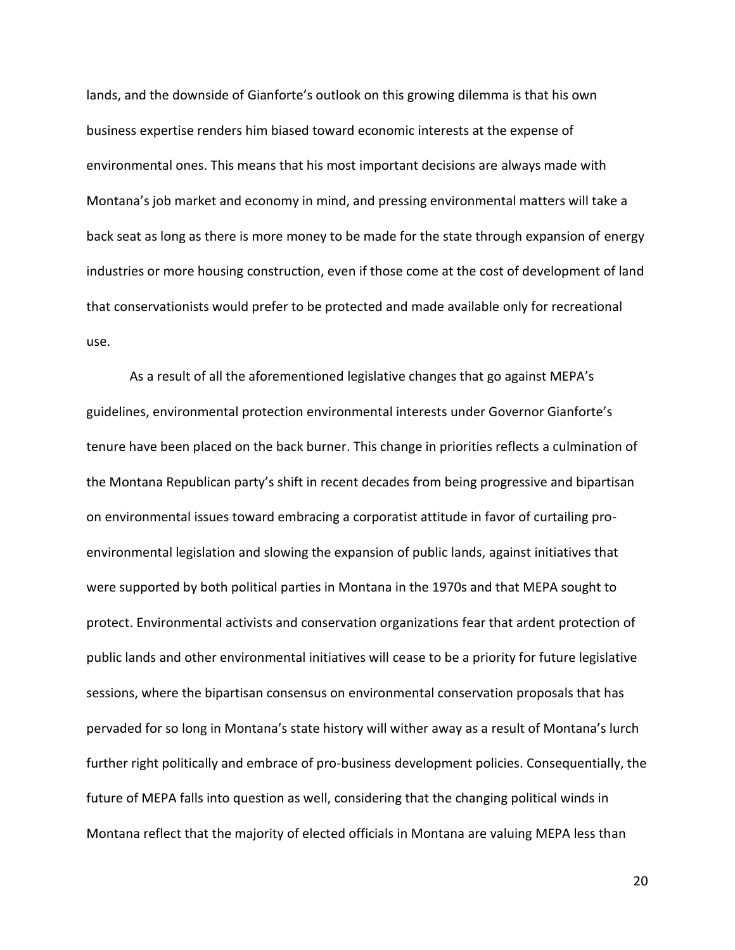lands, and the downside of Gianforte's outlook on this growing dilemma is that his own business expertise renders him biased toward economic interests at the expense of environmental ones. This means that his most important decisions are always made with Montana's job market and economy in mind, and pressing environmental matters will take a back seat as long as there is more money to be made for the state through expansion of energy industries or more housing construction, even if those come at the cost of development of land that conservationists would prefer to be protected and made available only for recreational use.

As a result of all the aforementioned legislative changes that go against MEPA's guidelines, environmental protection environmental interests under Governor Gianforte's tenure have been placed on the back burner. This change in priorities reflects a culmination of the Montana Republican party's shift in recent decades from being progressive and bipartisan on environmental issues toward embracing a corporatist attitude in favor of curtailing proenvironmental legislation and slowing the expansion of public lands, against initiatives that were supported by both political parties in Montana in the 1970s and that MEPA sought to protect. Environmental activists and conservation organizations fear that ardent protection of public lands and other environmental initiatives will cease to be a priority for future legislative sessions, where the bipartisan consensus on environmental conservation proposals that has pervaded for so long in Montana's state history will wither away as a result of Montana's lurch further right politically and embrace of pro-business development policies. Consequentially, the future of MEPA falls into question as well, considering that the changing political winds in Montana reflect that the majority of elected officials in Montana are valuing MEPA less than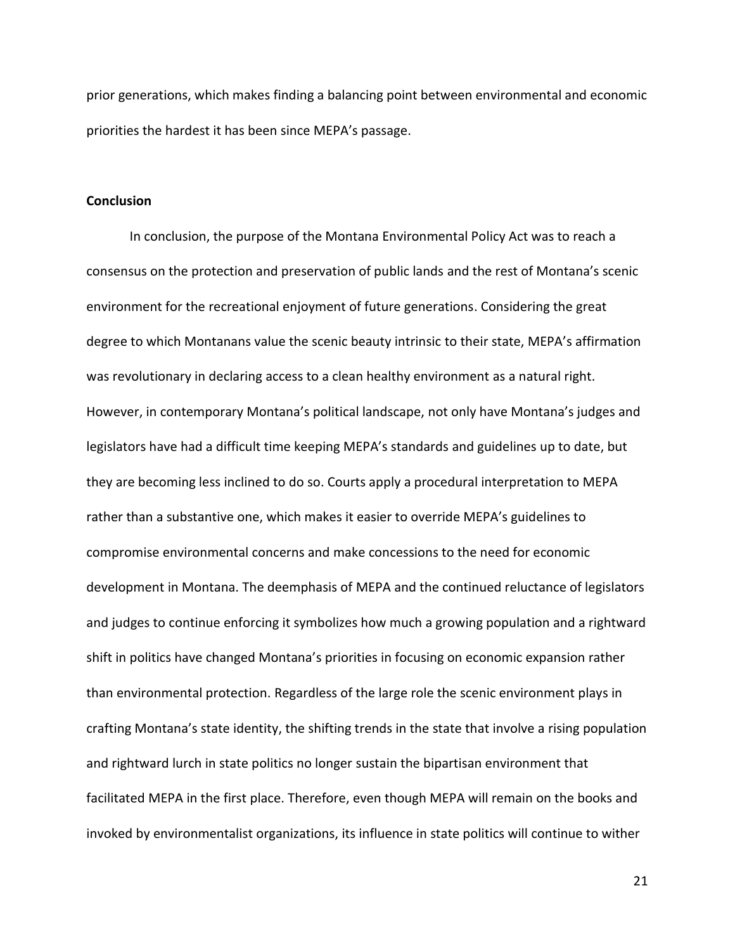prior generations, which makes finding a balancing point between environmental and economic priorities the hardest it has been since MEPA's passage.

### **Conclusion**

In conclusion, the purpose of the Montana Environmental Policy Act was to reach a consensus on the protection and preservation of public lands and the rest of Montana's scenic environment for the recreational enjoyment of future generations. Considering the great degree to which Montanans value the scenic beauty intrinsic to their state, MEPA's affirmation was revolutionary in declaring access to a clean healthy environment as a natural right. However, in contemporary Montana's political landscape, not only have Montana's judges and legislators have had a difficult time keeping MEPA's standards and guidelines up to date, but they are becoming less inclined to do so. Courts apply a procedural interpretation to MEPA rather than a substantive one, which makes it easier to override MEPA's guidelines to compromise environmental concerns and make concessions to the need for economic development in Montana. The deemphasis of MEPA and the continued reluctance of legislators and judges to continue enforcing it symbolizes how much a growing population and a rightward shift in politics have changed Montana's priorities in focusing on economic expansion rather than environmental protection. Regardless of the large role the scenic environment plays in crafting Montana's state identity, the shifting trends in the state that involve a rising population and rightward lurch in state politics no longer sustain the bipartisan environment that facilitated MEPA in the first place. Therefore, even though MEPA will remain on the books and invoked by environmentalist organizations, its influence in state politics will continue to wither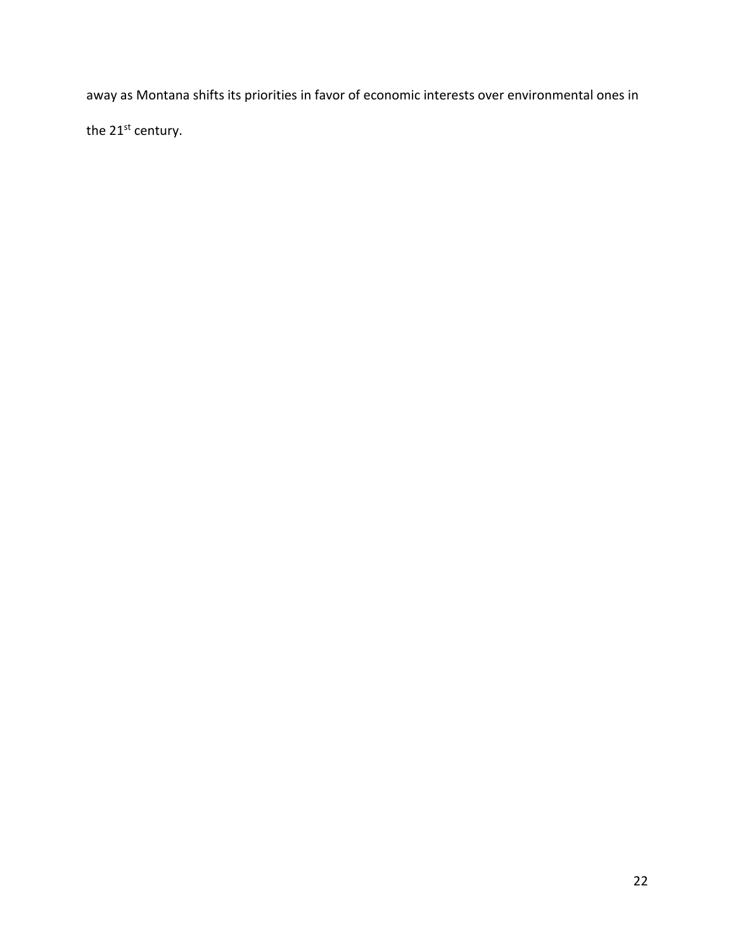away as Montana shifts its priorities in favor of economic interests over environmental ones in the 21<sup>st</sup> century.